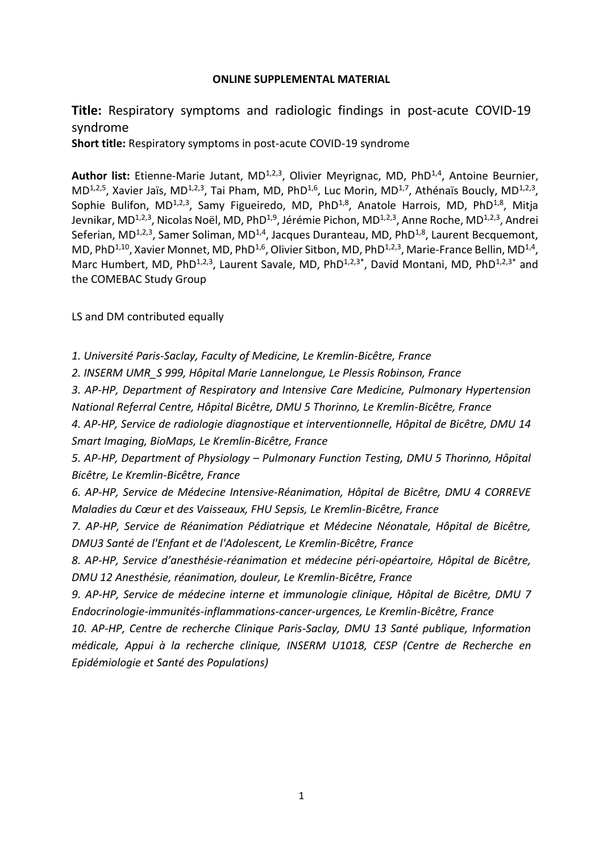#### **ONLINE SUPPLEMENTAL MATERIAL**

## **Title:** Respiratory symptoms and radiologic findings in post-acute COVID-19 syndrome

**Short title:** Respiratory symptoms in post-acute COVID-19 syndrome

Author list: Etienne-Marie Jutant, MD<sup>1,2,3</sup>, Olivier Meyrignac, MD, PhD<sup>1,4</sup>, Antoine Beurnier,  $MD^{1,2,5}$ , Xavier Jaïs, MD<sup>1,2,3</sup>, Tai Pham, MD, PhD<sup>1,6</sup>, Luc Morin, MD<sup>1,7</sup>, Athénaïs Boucly, MD<sup>1,2,3</sup>, Sophie Bulifon, MD<sup>1,2,3</sup>, Samy Figueiredo, MD, PhD<sup>1,8</sup>, Anatole Harrois, MD, PhD<sup>1,8</sup>, Mitja Jevnikar, MD<sup>1,2,3</sup>, Nicolas Noël, MD, PhD<sup>1,9</sup>, Jérémie Pichon, MD<sup>1,2,3</sup>, Anne Roche, MD<sup>1,2,3</sup>, Andrei Seferian, MD<sup>1,2,3</sup>, Samer Soliman, MD<sup>1,4</sup>, Jacques Duranteau, MD, PhD<sup>1,8</sup>, Laurent Becquemont, MD, PhD<sup>1,10</sup>, Xavier Monnet, MD, PhD<sup>1,6</sup>, Olivier Sitbon, MD, PhD<sup>1,2,3</sup>, Marie-France Bellin, MD<sup>1,4</sup>, Marc Humbert, MD, PhD<sup>1,2,3</sup>, Laurent Savale, MD, PhD<sup>1,2,3\*</sup>, David Montani, MD, PhD<sup>1,2,3\*</sup> and the COMEBAC Study Group

LS and DM contributed equally

*1. Université Paris-Saclay, Faculty of Medicine, Le Kremlin-Bicêtre, France*

*2. INSERM UMR\_S 999, Hôpital Marie Lannelongue, Le Plessis Robinson, France*

*3. AP-HP, Department of Respiratory and Intensive Care Medicine, Pulmonary Hypertension National Referral Centre, Hôpital Bicêtre, DMU 5 Thorinno, Le Kremlin-Bicêtre, France*

*4. AP-HP, Service de radiologie diagnostique et interventionnelle, Hôpital de Bicêtre, DMU 14 Smart Imaging, BioMaps, Le Kremlin-Bicêtre, France*

*5. AP-HP, Department of Physiology – Pulmonary Function Testing, DMU 5 Thorinno, Hôpital Bicêtre, Le Kremlin-Bicêtre, France*

*6. AP-HP, Service de Médecine Intensive-Réanimation, Hôpital de Bicêtre, DMU 4 CORREVE Maladies du Cœur et des Vaisseaux, FHU Sepsis, Le Kremlin-Bicêtre, France*

*7. AP-HP, Service de Réanimation Pédiatrique et Médecine Néonatale, Hôpital de Bicêtre, DMU3 Santé de l'Enfant et de l'Adolescent, Le Kremlin-Bicêtre, France*

*8. AP-HP, Service d'anesthésie-réanimation et médecine péri-opéartoire, Hôpital de Bicêtre, DMU 12 Anesthésie, réanimation, douleur, Le Kremlin-Bicêtre, France*

*9. AP-HP, Service de médecine interne et immunologie clinique, Hôpital de Bicêtre, DMU 7 Endocrinologie-immunités-inflammations-cancer-urgences, Le Kremlin-Bicêtre, France*

*10. AP-HP, Centre de recherche Clinique Paris-Saclay, DMU 13 Santé publique, Information médicale, Appui à la recherche clinique, INSERM U1018, CESP (Centre de Recherche en Epidémiologie et Santé des Populations)*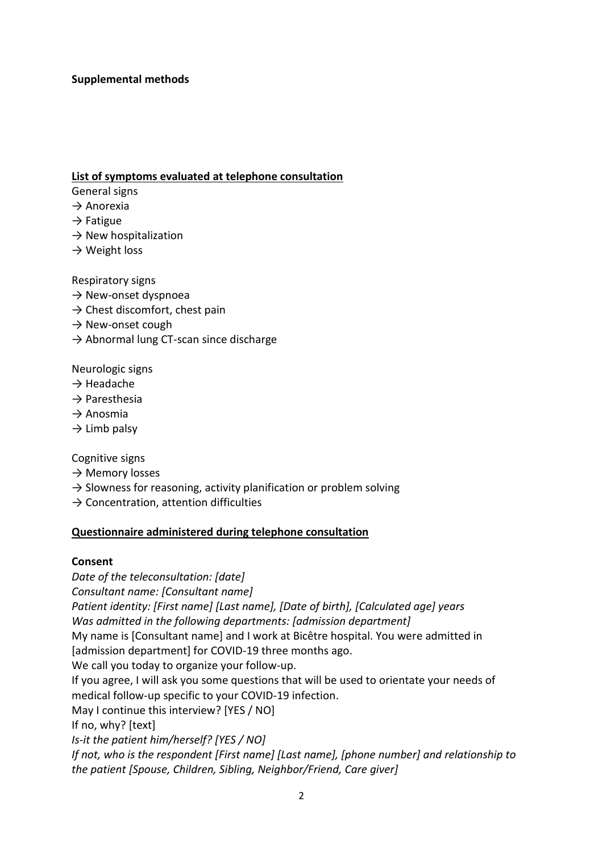### **Supplemental methods**

### **List of symptoms evaluated at telephone consultation**

- General signs
- $\rightarrow$  Anorexia
- $\rightarrow$  Fatigue
- $\rightarrow$  New hospitalization
- $\rightarrow$  Weight loss

Respiratory signs

- $\rightarrow$  New-onset dyspnoea
- $\rightarrow$  Chest discomfort, chest pain
- $\rightarrow$  New-onset cough
- $\rightarrow$  Abnormal lung CT-scan since discharge

Neurologic signs

- $\rightarrow$  Headache
- $\rightarrow$  Paresthesia
- $\rightarrow$  Anosmia
- $\rightarrow$  Limb palsy

Cognitive signs

- $\rightarrow$  Memory losses
- $\rightarrow$  Slowness for reasoning, activity planification or problem solving
- $\rightarrow$  Concentration, attention difficulties

### **Questionnaire administered during telephone consultation**

#### **Consent**

*Date of the teleconsultation: [date] Consultant name: [Consultant name] Patient identity: [First name] [Last name], [Date of birth], [Calculated age] years Was admitted in the following departments: [admission department]*  My name is [Consultant name] and I work at Bicêtre hospital. You were admitted in [admission department] for COVID-19 three months ago. We call you today to organize your follow-up. If you agree, I will ask you some questions that will be used to orientate your needs of medical follow-up specific to your COVID-19 infection. May I continue this interview? [YES / NO] If no, why? [text] *Is-it the patient him/herself? [YES / NO] If not, who is the respondent [First name] [Last name], [phone number] and relationship to the patient [Spouse, Children, Sibling, Neighbor/Friend, Care giver]*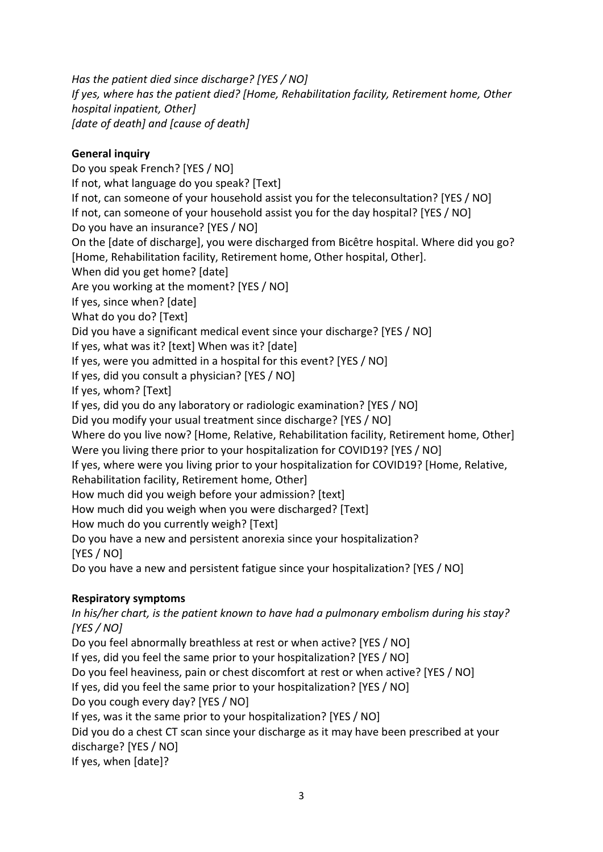*Has the patient died since discharge? [YES / NO] If yes, where has the patient died? [Home, Rehabilitation facility, Retirement home, Other hospital inpatient, Other] [date of death] and [cause of death]* 

## **General inquiry**

Do you speak French? [YES / NO] If not, what language do you speak? [Text] If not, can someone of your household assist you for the teleconsultation? [YES / NO] If not, can someone of your household assist you for the day hospital? [YES / NO] Do you have an insurance? [YES / NO] On the [date of discharge], you were discharged from Bicêtre hospital. Where did you go? [Home, Rehabilitation facility, Retirement home, Other hospital, Other]. When did you get home? [date] Are you working at the moment? [YES / NO] If yes, since when? [date] What do you do? [Text] Did you have a significant medical event since your discharge? [YES / NO] If yes, what was it? [text] When was it? [date] If yes, were you admitted in a hospital for this event? [YES / NO] If yes, did you consult a physician? [YES / NO] If yes, whom? [Text] If yes, did you do any laboratory or radiologic examination? [YES / NO] Did you modify your usual treatment since discharge? [YES / NO] Where do you live now? [Home, Relative, Rehabilitation facility, Retirement home, Other] Were you living there prior to your hospitalization for COVID19? [YES / NO] If yes, where were you living prior to your hospitalization for COVID19? [Home, Relative, Rehabilitation facility, Retirement home, Other] How much did you weigh before your admission? [text] How much did you weigh when you were discharged? [Text] How much do you currently weigh? [Text] Do you have a new and persistent anorexia since your hospitalization? [YES / NO] Do you have a new and persistent fatigue since your hospitalization? [YES / NO]

# **Respiratory symptoms**

*In his/her chart, is the patient known to have had a pulmonary embolism during his stay? [YES / NO]*  Do you feel abnormally breathless at rest or when active? [YES / NO] If yes, did you feel the same prior to your hospitalization? [YES / NO] Do you feel heaviness, pain or chest discomfort at rest or when active? [YES / NO] If yes, did you feel the same prior to your hospitalization? [YES / NO] Do you cough every day? [YES / NO] If yes, was it the same prior to your hospitalization? [YES / NO] Did you do a chest CT scan since your discharge as it may have been prescribed at your discharge? [YES / NO] If yes, when [date]?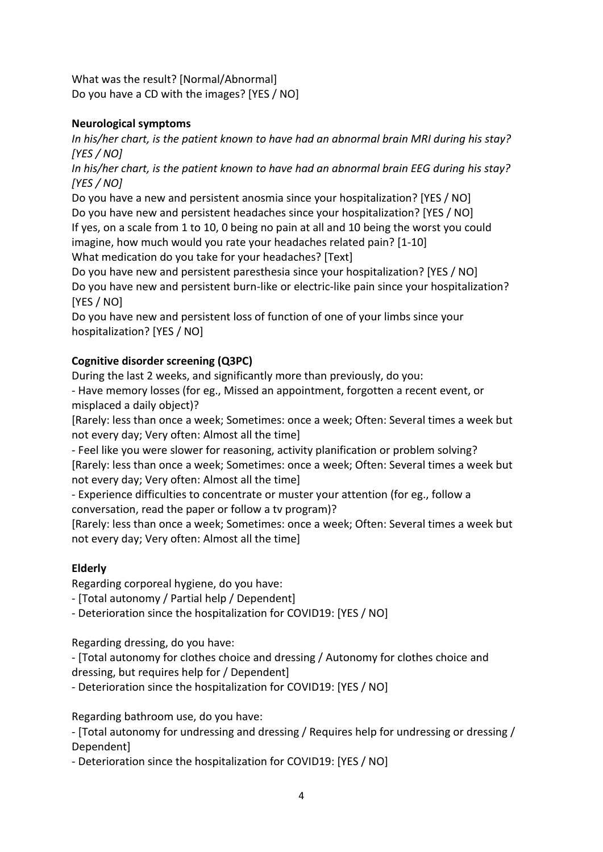What was the result? [Normal/Abnormal] Do you have a CD with the images? [YES / NO]

## **Neurological symptoms**

*In his/her chart, is the patient known to have had an abnormal brain MRI during his stay? [YES / NO]* 

*In his/her chart, is the patient known to have had an abnormal brain EEG during his stay? [YES / NO]* 

Do you have a new and persistent anosmia since your hospitalization? [YES / NO] Do you have new and persistent headaches since your hospitalization? [YES / NO] If yes, on a scale from 1 to 10, 0 being no pain at all and 10 being the worst you could imagine, how much would you rate your headaches related pain? [1-10] What medication do you take for your headaches? [Text]

Do you have new and persistent paresthesia since your hospitalization? [YES / NO] Do you have new and persistent burn-like or electric-like pain since your hospitalization? [YES / NO]

Do you have new and persistent loss of function of one of your limbs since your hospitalization? [YES / NO]

# **Cognitive disorder screening (Q3PC)**

During the last 2 weeks, and significantly more than previously, do you:

- Have memory losses (for eg., Missed an appointment, forgotten a recent event, or misplaced a daily object)?

[Rarely: less than once a week; Sometimes: once a week; Often: Several times a week but not every day; Very often: Almost all the time]

- Feel like you were slower for reasoning, activity planification or problem solving? [Rarely: less than once a week; Sometimes: once a week; Often: Several times a week but not every day; Very often: Almost all the time]

- Experience difficulties to concentrate or muster your attention (for eg., follow a conversation, read the paper or follow a tv program)?

[Rarely: less than once a week; Sometimes: once a week; Often: Several times a week but not every day; Very often: Almost all the time]

# **Elderly**

Regarding corporeal hygiene, do you have:

- [Total autonomy / Partial help / Dependent]

- Deterioration since the hospitalization for COVID19: [YES / NO]

Regarding dressing, do you have:

- [Total autonomy for clothes choice and dressing / Autonomy for clothes choice and dressing, but requires help for / Dependent]

- Deterioration since the hospitalization for COVID19: [YES / NO]

Regarding bathroom use, do you have:

- [Total autonomy for undressing and dressing / Requires help for undressing or dressing / Dependent]

- Deterioration since the hospitalization for COVID19: [YES / NO]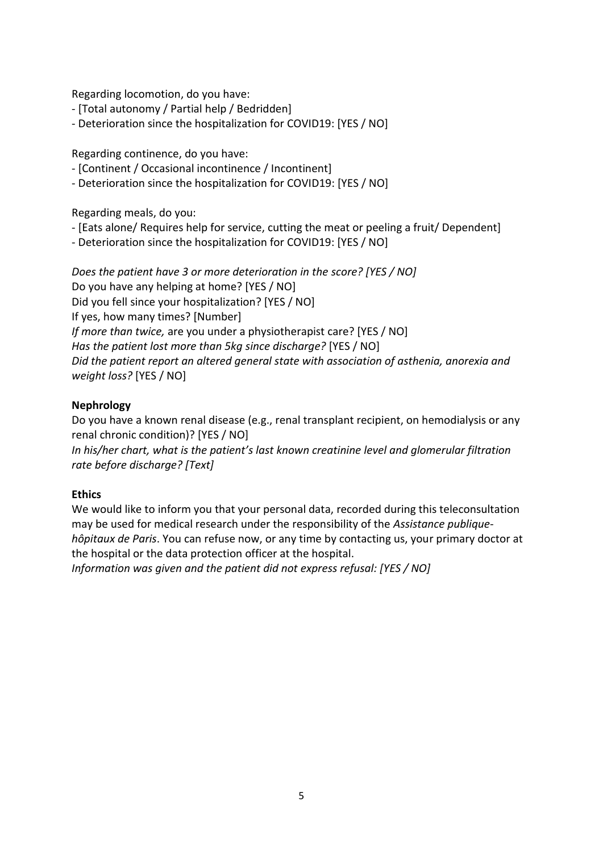Regarding locomotion, do you have:

- [Total autonomy / Partial help / Bedridden]
- Deterioration since the hospitalization for COVID19: [YES / NO]

Regarding continence, do you have:

- [Continent / Occasional incontinence / Incontinent]
- Deterioration since the hospitalization for COVID19: [YES / NO]

Regarding meals, do you:

- [Eats alone/ Requires help for service, cutting the meat or peeling a fruit/ Dependent]
- Deterioration since the hospitalization for COVID19: [YES / NO]

*Does the patient have 3 or more deterioration in the score? [YES / NO]*  Do you have any helping at home? [YES / NO] Did you fell since your hospitalization? [YES / NO] If yes, how many times? [Number] *If more than twice,* are you under a physiotherapist care? [YES / NO] *Has the patient lost more than 5kg since discharge?* [YES / NO] *Did the patient report an altered general state with association of asthenia, anorexia and weight loss?* [YES / NO]

### **Nephrology**

Do you have a known renal disease (e.g., renal transplant recipient, on hemodialysis or any renal chronic condition)? [YES / NO]

*In his/her chart, what is the patient's last known creatinine level and glomerular filtration rate before discharge? [Text]* 

### **Ethics**

We would like to inform you that your personal data, recorded during this teleconsultation may be used for medical research under the responsibility of the *Assistance publiquehôpitaux de Paris*. You can refuse now, or any time by contacting us, your primary doctor at the hospital or the data protection officer at the hospital.

*Information was given and the patient did not express refusal: [YES / NO]*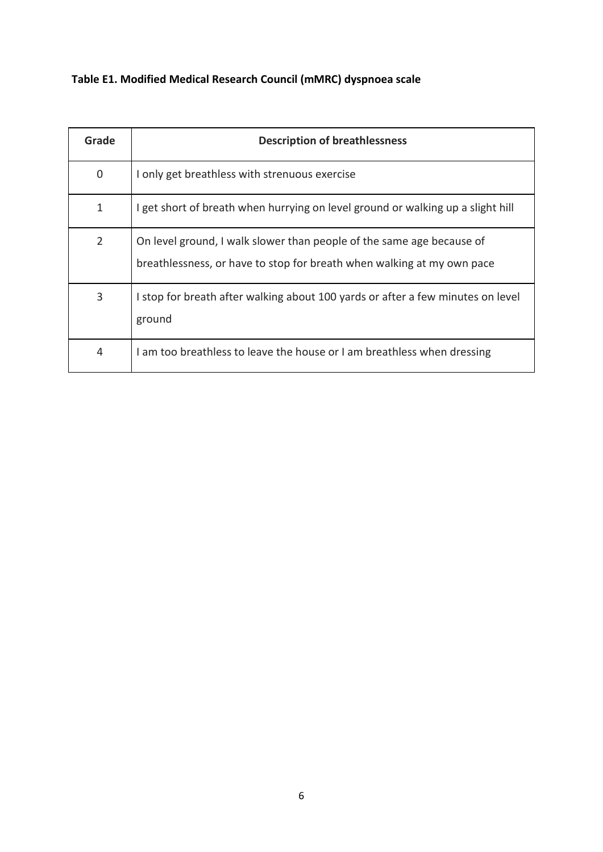**Table E1. Modified Medical Research Council (mMRC) dyspnoea scale**

| Grade          | <b>Description of breathlessness</b>                                                                                                            |
|----------------|-------------------------------------------------------------------------------------------------------------------------------------------------|
| 0              | I only get breathless with strenuous exercise                                                                                                   |
| 1              | I get short of breath when hurrying on level ground or walking up a slight hill                                                                 |
| $\overline{2}$ | On level ground, I walk slower than people of the same age because of<br>breathlessness, or have to stop for breath when walking at my own pace |
| 3              | I stop for breath after walking about 100 yards or after a few minutes on level<br>ground                                                       |
| $\overline{4}$ | I am too breathless to leave the house or I am breathless when dressing                                                                         |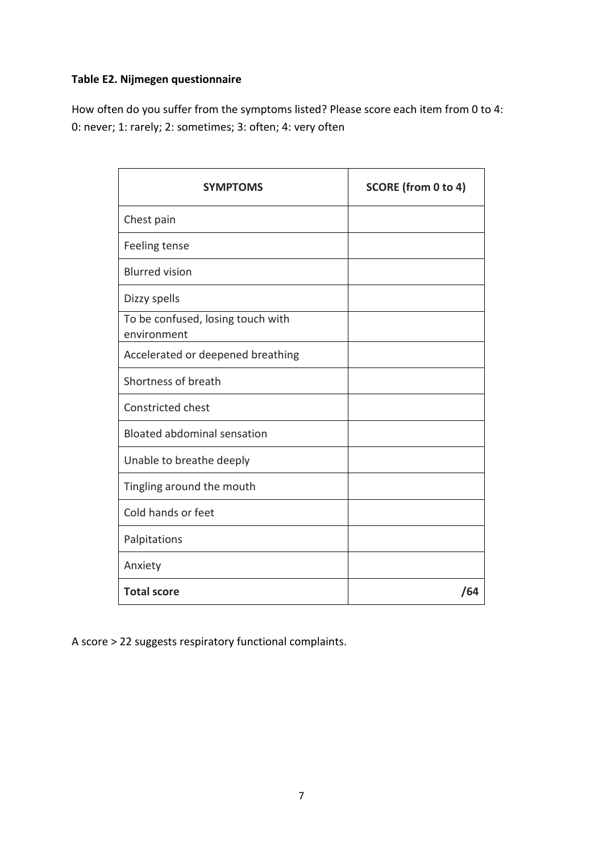## **Table E2. Nijmegen questionnaire**

How often do you suffer from the symptoms listed? Please score each item from 0 to 4: 0: never; 1: rarely; 2: sometimes; 3: often; 4: very often

| <b>SYMPTOMS</b>                                  | SCORE (from 0 to 4) |
|--------------------------------------------------|---------------------|
| Chest pain                                       |                     |
| Feeling tense                                    |                     |
| <b>Blurred vision</b>                            |                     |
| Dizzy spells                                     |                     |
| To be confused, losing touch with<br>environment |                     |
| Accelerated or deepened breathing                |                     |
| Shortness of breath                              |                     |
| <b>Constricted chest</b>                         |                     |
| <b>Bloated abdominal sensation</b>               |                     |
| Unable to breathe deeply                         |                     |
| Tingling around the mouth                        |                     |
| Cold hands or feet                               |                     |
| Palpitations                                     |                     |
| Anxiety                                          |                     |
| <b>Total score</b>                               | /64                 |

A score > 22 suggests respiratory functional complaints.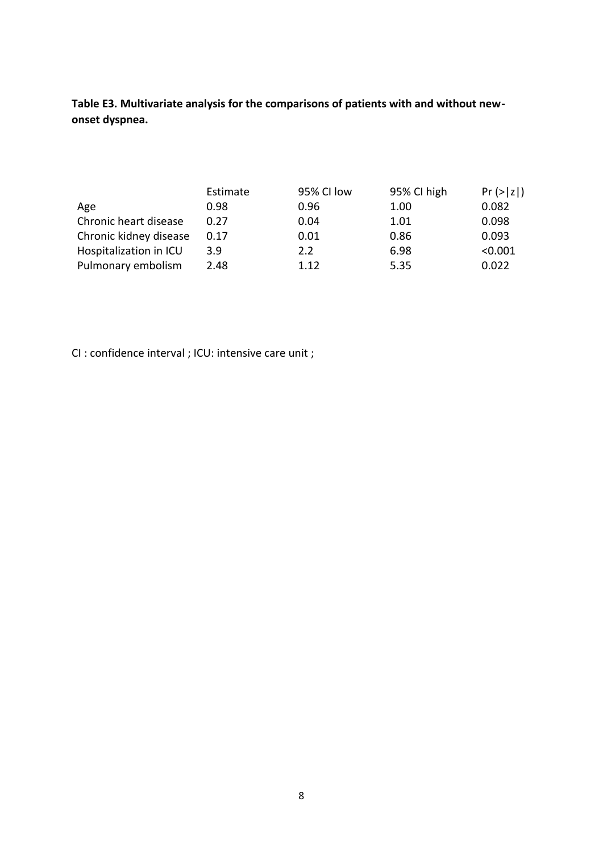**Table E3. Multivariate analysis for the comparisons of patients with and without newonset dyspnea.**

|                        | Estimate | 95% CI low | 95% CI high | Pr(> z ) |
|------------------------|----------|------------|-------------|----------|
| Age                    | 0.98     | 0.96       | 1.00        | 0.082    |
| Chronic heart disease  | 0.27     | 0.04       | 1.01        | 0.098    |
| Chronic kidney disease | 0.17     | 0.01       | 0.86        | 0.093    |
| Hospitalization in ICU | 3.9      | 2.2        | 6.98        | < 0.001  |
| Pulmonary embolism     | 2.48     | 1.12       | 5.35        | 0.022    |

CI : confidence interval ; ICU: intensive care unit ;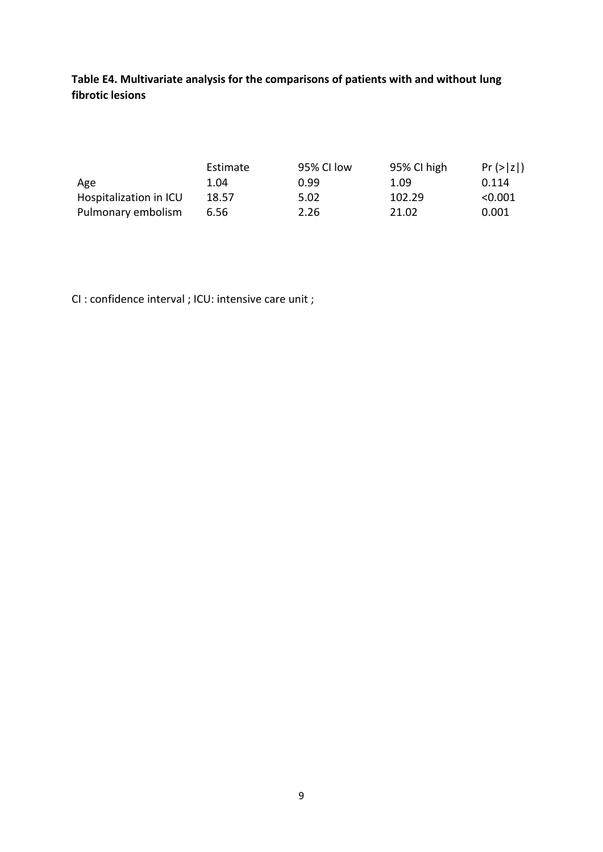**Table E4. Multivariate analysis for the comparisons of patients with and without lung fibrotic lesions**

|                        | Estimate | 95% CI low | 95% CI high | $Pr(>\vert z \vert)$ |
|------------------------|----------|------------|-------------|----------------------|
| Age                    | 1.04     | 0.99       | 1.09        | 0.114                |
| Hospitalization in ICU | 18.57    | 5.02       | 102.29      | < 0.001              |
| Pulmonary embolism     | 6.56     | 2.26       | 21.02       | 0.001                |

CI : confidence interval ; ICU: intensive care unit ;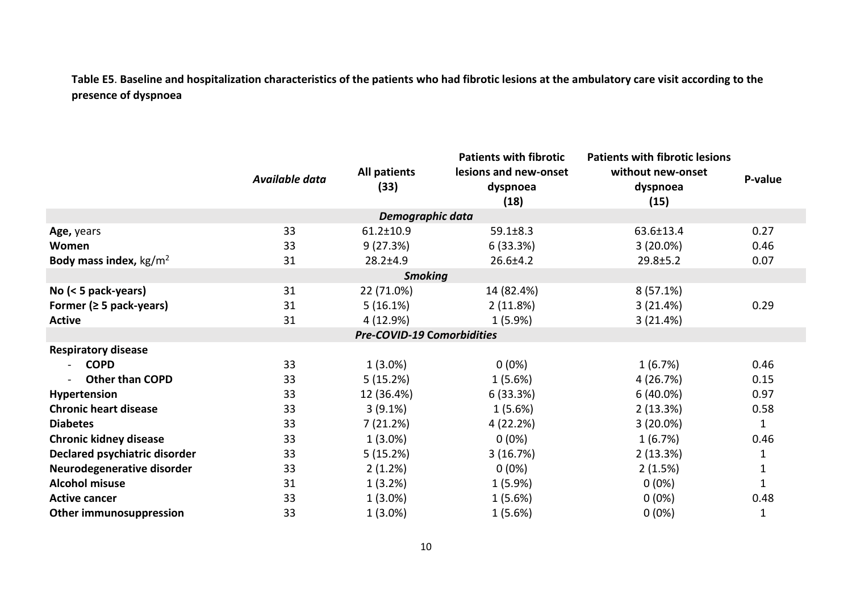**Table E5**. **Baseline and hospitalization characteristics of the patients who had fibrotic lesions at the ambulatory care visit according to the presence of dyspnoea**

|                                  | Available data | <b>All patients</b><br>(33)       | <b>Patients with fibrotic</b><br>lesions and new-onset<br>dyspnoea<br>(18) | <b>Patients with fibrotic lesions</b><br>without new-onset<br>dyspnoea<br>(15) | P-value      |
|----------------------------------|----------------|-----------------------------------|----------------------------------------------------------------------------|--------------------------------------------------------------------------------|--------------|
|                                  |                | Demographic data                  |                                                                            |                                                                                |              |
| Age, years                       | 33             | $61.2 \pm 10.9$                   | $59.1 \pm 8.3$                                                             | 63.6±13.4                                                                      | 0.27         |
| Women                            | 33             | 9(27.3%)                          | 6(33.3%)                                                                   | $3(20.0\%)$                                                                    | 0.46         |
| Body mass index, $\text{kg/m}^2$ | 31             | $28.2 \pm 4.9$                    | $26.6 \pm 4.2$                                                             | 29.8±5.2                                                                       | 0.07         |
|                                  |                | <b>Smoking</b>                    |                                                                            |                                                                                |              |
| No $(< 5$ pack-years)            | 31             | 22 (71.0%)                        | 14 (82.4%)                                                                 | 8(57.1%)                                                                       |              |
| Former ( $\geq$ 5 pack-years)    | 31             | 5(16.1%)                          | 2(11.8%)                                                                   | 3(21.4%)                                                                       | 0.29         |
| <b>Active</b>                    | 31             | 4 (12.9%)                         | $1(5.9\%)$                                                                 | 3(21.4%)                                                                       |              |
|                                  |                | <b>Pre-COVID-19 Comorbidities</b> |                                                                            |                                                                                |              |
| <b>Respiratory disease</b>       |                |                                   |                                                                            |                                                                                |              |
| <b>COPD</b>                      | 33             | $1(3.0\%)$                        | $0(0\%)$                                                                   | 1(6.7%)                                                                        | 0.46         |
| <b>Other than COPD</b>           | 33             | 5(15.2%)                          | 1(5.6%)                                                                    | 4 (26.7%)                                                                      | 0.15         |
| Hypertension                     | 33             | 12 (36.4%)                        | 6 (33.3%)                                                                  | $6(40.0\%)$                                                                    | 0.97         |
| <b>Chronic heart disease</b>     | 33             | $3(9.1\%)$                        | 1(5.6%)                                                                    | 2(13.3%)                                                                       | 0.58         |
| <b>Diabetes</b>                  | 33             | 7(21.2%)                          | 4 (22.2%)                                                                  | $3(20.0\%)$                                                                    | $\mathbf{1}$ |
| <b>Chronic kidney disease</b>    | 33             | $1(3.0\%)$                        | $0(0\%)$                                                                   | 1(6.7%)                                                                        | 0.46         |
| Declared psychiatric disorder    | 33             | 5(15.2%)                          | 3(16.7%)                                                                   | 2(13.3%)                                                                       | $\mathbf 1$  |
| Neurodegenerative disorder       | 33             | 2(1.2%)                           | $0(0\%)$                                                                   | 2(1.5%)                                                                        | 1            |
| <b>Alcohol misuse</b>            | 31             | 1(3.2%)                           | 1(5.9%)                                                                    | $0(0\%)$                                                                       | $\mathbf{1}$ |
| <b>Active cancer</b>             | 33             | $1(3.0\%)$                        | 1(5.6%)                                                                    | $0(0\%)$                                                                       | 0.48         |
| <b>Other immunosuppression</b>   | 33             | $1(3.0\%)$                        | 1(5.6%)                                                                    | $0(0\%)$                                                                       | 1            |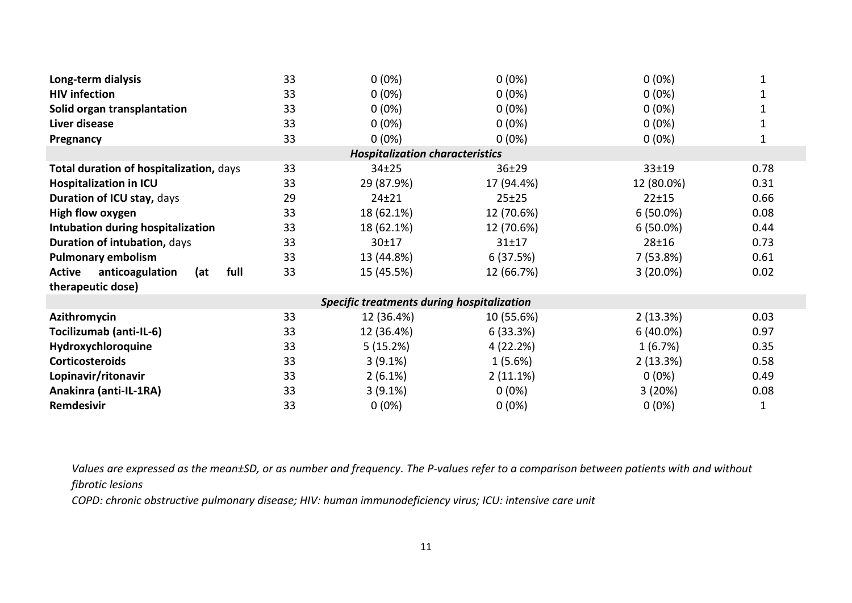| Long-term dialysis                              | 33 | $0(0\%)$                               | $0(0\%)$    | $0(0\%)$    |      |  |  |  |
|-------------------------------------------------|----|----------------------------------------|-------------|-------------|------|--|--|--|
| <b>HIV</b> infection                            | 33 | $0(0\%)$                               | $0(0\%)$    | $0(0\%)$    |      |  |  |  |
| Solid organ transplantation                     | 33 | $0(0\%)$                               | $0(0\%)$    | $0(0\%)$    |      |  |  |  |
| Liver disease                                   | 33 | $0(0\%)$                               | $0(0\%)$    | $0(0\%)$    |      |  |  |  |
| Pregnancy                                       | 33 | $0(0\%)$                               | $0(0\%)$    | $0(0\%)$    |      |  |  |  |
|                                                 |    | <b>Hospitalization characteristics</b> |             |             |      |  |  |  |
| Total duration of hospitalization, days         | 33 | 34±25                                  | 36±29       | 33±19       | 0.78 |  |  |  |
| <b>Hospitalization in ICU</b>                   | 33 | 29 (87.9%)                             | 17 (94.4%)  | 12 (80.0%)  | 0.31 |  |  |  |
| Duration of ICU stay, days                      | 29 | $24 + 21$                              | 25±25       | 22±15       | 0.66 |  |  |  |
| High flow oxygen                                | 33 | 18 (62.1%)                             | 12 (70.6%)  | $6(50.0\%)$ | 0.08 |  |  |  |
| Intubation during hospitalization               | 33 | 18 (62.1%)                             | 12 (70.6%)  | $6(50.0\%)$ | 0.44 |  |  |  |
| Duration of intubation, days                    | 33 | 30±17                                  | 31±17       | $28 + 16$   | 0.73 |  |  |  |
| <b>Pulmonary embolism</b>                       | 33 | 13 (44.8%)                             | 6(37.5%)    | 7(53.8%)    | 0.61 |  |  |  |
| full<br><b>Active</b><br>anticoagulation<br>(at | 33 | 15 (45.5%)                             | 12 (66.7%)  | $3(20.0\%)$ | 0.02 |  |  |  |
| therapeutic dose)                               |    |                                        |             |             |      |  |  |  |
| Specific treatments during hospitalization      |    |                                        |             |             |      |  |  |  |
| Azithromycin                                    | 33 | 12 (36.4%)                             | 10 (55.6%)  | 2(13.3%)    | 0.03 |  |  |  |
| Tocilizumab (anti-IL-6)                         | 33 | 12 (36.4%)                             | 6(33.3%)    | $6(40.0\%)$ | 0.97 |  |  |  |
| Hydroxychloroquine                              | 33 | 5(15.2%)                               | 4 (22.2%)   | 1(6.7%)     | 0.35 |  |  |  |
| <b>Corticosteroids</b>                          | 33 | $3(9.1\%)$                             | 1(5.6%)     | 2(13.3%)    | 0.58 |  |  |  |
| Lopinavir/ritonavir                             | 33 | $2(6.1\%)$                             | $2(11.1\%)$ | $0(0\%)$    | 0.49 |  |  |  |
| Anakinra (anti-IL-1RA)                          | 33 | $3(9.1\%)$                             | $0(0\%)$    | 3(20%)      | 0.08 |  |  |  |
| Remdesivir                                      | 33 | $0(0\%)$                               | $0(0\%)$    | $0(0\%)$    | 1    |  |  |  |

*Values are expressed as the mean±SD, or as number and frequency. The P-values refer to a comparison between patients with and without fibrotic lesions* 

*COPD: chronic obstructive pulmonary disease; HIV: human immunodeficiency virus; ICU: intensive care unit*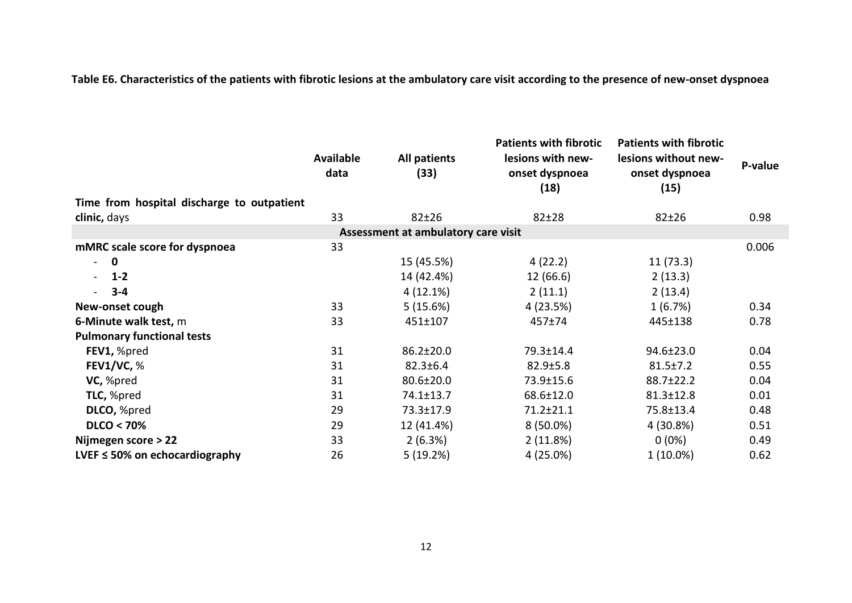**Table E6. Characteristics of the patients with fibrotic lesions at the ambulatory care visit according to the presence of new-onset dyspnoea**

|                                            | <b>Available</b><br>data | <b>All patients</b><br>(33)         | <b>Patients with fibrotic</b><br>lesions with new-<br>onset dyspnoea<br>(18) | <b>Patients with fibrotic</b><br>lesions without new-<br>onset dyspnoea<br>(15) | P-value |
|--------------------------------------------|--------------------------|-------------------------------------|------------------------------------------------------------------------------|---------------------------------------------------------------------------------|---------|
| Time from hospital discharge to outpatient |                          |                                     |                                                                              |                                                                                 |         |
| clinic, days                               | 33                       | $82 + 26$                           | $82 + 28$                                                                    | $82 + 26$                                                                       | 0.98    |
|                                            |                          | Assessment at ambulatory care visit |                                                                              |                                                                                 |         |
| mMRC scale score for dyspnoea              | 33                       |                                     |                                                                              |                                                                                 | 0.006   |
| $\Omega$<br>$\overline{a}$                 |                          | 15 (45.5%)                          | 4(22.2)                                                                      | 11(73.3)                                                                        |         |
| $1 - 2$<br>$\blacksquare$                  |                          | 14 (42.4%)                          | 12 (66.6)                                                                    | 2(13.3)                                                                         |         |
| $3 - 4$                                    |                          | $4(12.1\%)$                         | 2(11.1)                                                                      | 2(13.4)                                                                         |         |
| New-onset cough                            | 33                       | 5(15.6%)                            | 4 (23.5%)                                                                    | 1(6.7%)                                                                         | 0.34    |
| 6-Minute walk test, m                      | 33                       | 451±107                             | 457±74                                                                       | 445±138                                                                         | 0.78    |
| <b>Pulmonary functional tests</b>          |                          |                                     |                                                                              |                                                                                 |         |
| FEV1, %pred                                | 31                       | 86.2±20.0                           | 79.3±14.4                                                                    | 94.6±23.0                                                                       | 0.04    |
| FEV1/VC, $%$                               | 31                       | $82.3 \pm 6.4$                      | $82.9 \pm 5.8$                                                               | $81.5 \pm 7.2$                                                                  | 0.55    |
| VC, %pred                                  | 31                       | 80.6±20.0                           | 73.9±15.6                                                                    | 88.7±22.2                                                                       | 0.04    |
| TLC, %pred                                 | 31                       | 74.1±13.7                           | 68.6±12.0                                                                    | 81.3±12.8                                                                       | 0.01    |
| DLCO, %pred                                | 29                       | 73.3±17.9                           | 71.2±21.1                                                                    | 75.8±13.4                                                                       | 0.48    |
| <b>DLCO &lt; 70%</b>                       | 29                       | 12 (41.4%)                          | $8(50.0\%)$                                                                  | 4 (30.8%)                                                                       | 0.51    |
| Nijmegen score > 22                        | 33                       | 2(6.3%)                             | 2(11.8%)                                                                     | $0(0\%)$                                                                        | 0.49    |
| LVEF $\leq$ 50% on echocardiography        | 26                       | 5(19.2%)                            | 4 (25.0%)                                                                    | $1(10.0\%)$                                                                     | 0.62    |